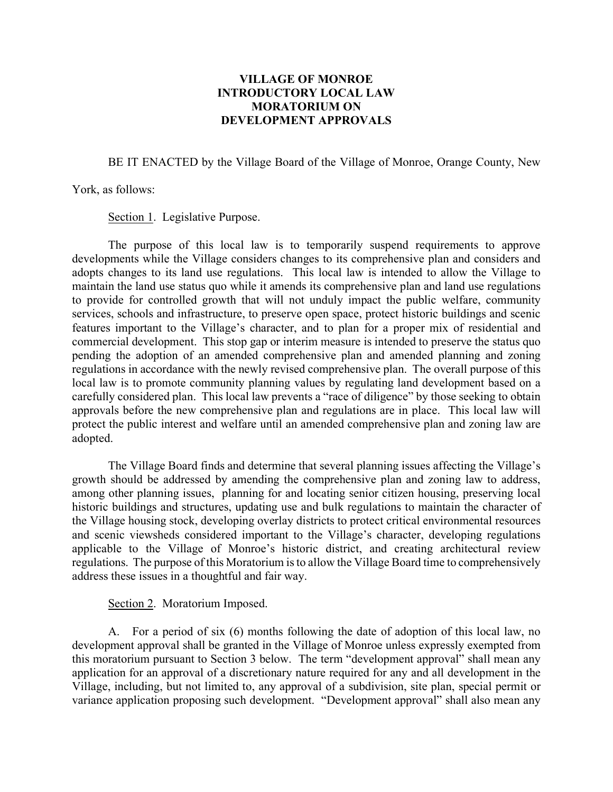## **VILLAGE OF MONROE INTRODUCTORY LOCAL LAW MORATORIUM ON DEVELOPMENT APPROVALS**

BE IT ENACTED by the Village Board of the Village of Monroe, Orange County, New

York, as follows:

Section 1. Legislative Purpose.

The purpose of this local law is to temporarily suspend requirements to approve developments while the Village considers changes to its comprehensive plan and considers and adopts changes to its land use regulations. This local law is intended to allow the Village to maintain the land use status quo while it amends its comprehensive plan and land use regulations to provide for controlled growth that will not unduly impact the public welfare, community services, schools and infrastructure, to preserve open space, protect historic buildings and scenic features important to the Village's character, and to plan for a proper mix of residential and commercial development. This stop gap or interim measure is intended to preserve the status quo pending the adoption of an amended comprehensive plan and amended planning and zoning regulations in accordance with the newly revised comprehensive plan. The overall purpose of this local law is to promote community planning values by regulating land development based on a carefully considered plan. This local law prevents a "race of diligence" by those seeking to obtain approvals before the new comprehensive plan and regulations are in place. This local law will protect the public interest and welfare until an amended comprehensive plan and zoning law are adopted.

The Village Board finds and determine that several planning issues affecting the Village's growth should be addressed by amending the comprehensive plan and zoning law to address, among other planning issues, planning for and locating senior citizen housing, preserving local historic buildings and structures, updating use and bulk regulations to maintain the character of the Village housing stock, developing overlay districts to protect critical environmental resources and scenic viewsheds considered important to the Village's character, developing regulations applicable to the Village of Monroe's historic district, and creating architectural review regulations. The purpose of this Moratorium is to allow the Village Board time to comprehensively address these issues in a thoughtful and fair way.

## Section 2. Moratorium Imposed.

A. For a period of six (6) months following the date of adoption of this local law, no development approval shall be granted in the Village of Monroe unless expressly exempted from this moratorium pursuant to Section 3 below. The term "development approval" shall mean any application for an approval of a discretionary nature required for any and all development in the Village, including, but not limited to, any approval of a subdivision, site plan, special permit or variance application proposing such development. "Development approval" shall also mean any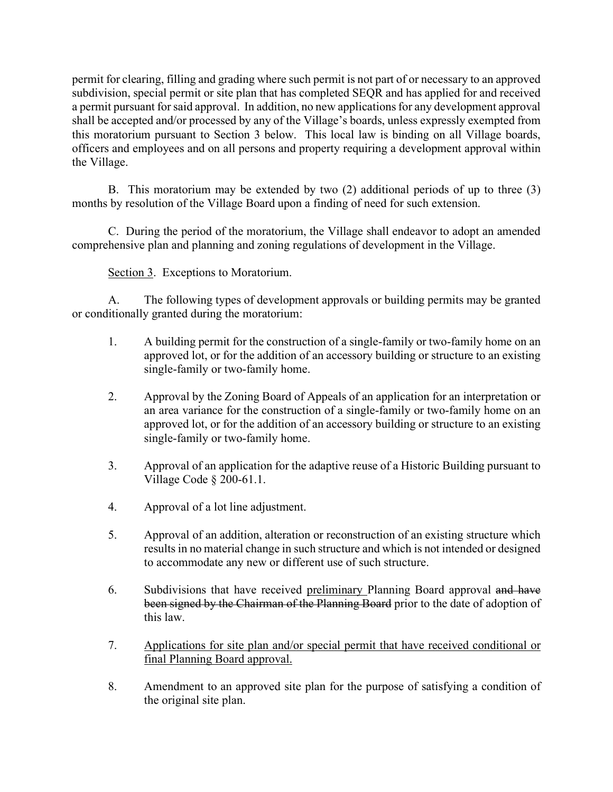permit for clearing, filling and grading where such permit is not part of or necessary to an approved subdivision, special permit or site plan that has completed SEQR and has applied for and received a permit pursuant for said approval. In addition, no new applications for any development approval shall be accepted and/or processed by any of the Village's boards, unless expressly exempted from this moratorium pursuant to Section 3 below. This local law is binding on all Village boards, officers and employees and on all persons and property requiring a development approval within the Village.

B. This moratorium may be extended by two (2) additional periods of up to three (3) months by resolution of the Village Board upon a finding of need for such extension.

C. During the period of the moratorium, the Village shall endeavor to adopt an amended comprehensive plan and planning and zoning regulations of development in the Village.

Section 3. Exceptions to Moratorium.

A. The following types of development approvals or building permits may be granted or conditionally granted during the moratorium:

- 1. A building permit for the construction of a single-family or two-family home on an approved lot, or for the addition of an accessory building or structure to an existing single-family or two-family home.
- 2. Approval by the Zoning Board of Appeals of an application for an interpretation or an area variance for the construction of a single-family or two-family home on an approved lot, or for the addition of an accessory building or structure to an existing single-family or two-family home.
- 3. Approval of an application for the adaptive reuse of a Historic Building pursuant to Village Code § 200-61.1.
- 4. Approval of a lot line adjustment.
- 5. Approval of an addition, alteration or reconstruction of an existing structure which results in no material change in such structure and which is not intended or designed to accommodate any new or different use of such structure.
- 6. Subdivisions that have received preliminary Planning Board approval and have been signed by the Chairman of the Planning Board prior to the date of adoption of this law.
- 7. Applications for site plan and/or special permit that have received conditional or final Planning Board approval.
- 8. Amendment to an approved site plan for the purpose of satisfying a condition of the original site plan.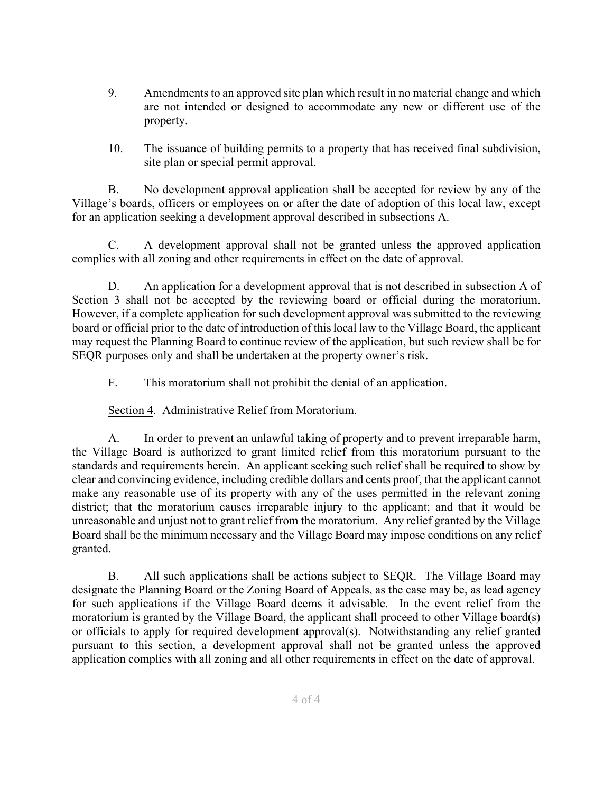- 9. Amendments to an approved site plan which result in no material change and which are not intended or designed to accommodate any new or different use of the property.
- 10. The issuance of building permits to a property that has received final subdivision, site plan or special permit approval.

B. No development approval application shall be accepted for review by any of the Village's boards, officers or employees on or after the date of adoption of this local law, except for an application seeking a development approval described in subsections A.

C. A development approval shall not be granted unless the approved application complies with all zoning and other requirements in effect on the date of approval.

D. An application for a development approval that is not described in subsection A of Section 3 shall not be accepted by the reviewing board or official during the moratorium. However, if a complete application for such development approval was submitted to the reviewing board or official prior to the date of introduction of this local law to the Village Board, the applicant may request the Planning Board to continue review of the application, but such review shall be for SEQR purposes only and shall be undertaken at the property owner's risk.

F. This moratorium shall not prohibit the denial of an application.

Section 4. Administrative Relief from Moratorium.

A. In order to prevent an unlawful taking of property and to prevent irreparable harm, the Village Board is authorized to grant limited relief from this moratorium pursuant to the standards and requirements herein. An applicant seeking such relief shall be required to show by clear and convincing evidence, including credible dollars and cents proof, that the applicant cannot make any reasonable use of its property with any of the uses permitted in the relevant zoning district; that the moratorium causes irreparable injury to the applicant; and that it would be unreasonable and unjust not to grant relief from the moratorium. Any relief granted by the Village Board shall be the minimum necessary and the Village Board may impose conditions on any relief granted.

B. All such applications shall be actions subject to SEQR. The Village Board may designate the Planning Board or the Zoning Board of Appeals, as the case may be, as lead agency for such applications if the Village Board deems it advisable. In the event relief from the moratorium is granted by the Village Board, the applicant shall proceed to other Village board(s) or officials to apply for required development approval(s). Notwithstanding any relief granted pursuant to this section, a development approval shall not be granted unless the approved application complies with all zoning and all other requirements in effect on the date of approval.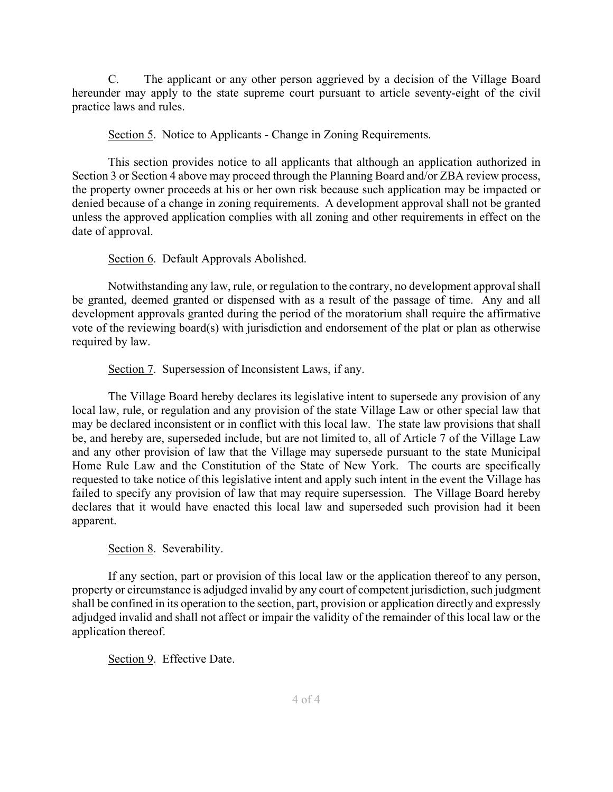C. The applicant or any other person aggrieved by a decision of the Village Board hereunder may apply to the state supreme court pursuant to article seventy-eight of the civil practice laws and rules.

Section 5. Notice to Applicants - Change in Zoning Requirements.

This section provides notice to all applicants that although an application authorized in Section 3 or Section 4 above may proceed through the Planning Board and/or ZBA review process, the property owner proceeds at his or her own risk because such application may be impacted or denied because of a change in zoning requirements. A development approval shall not be granted unless the approved application complies with all zoning and other requirements in effect on the date of approval.

Section 6. Default Approvals Abolished.

Notwithstanding any law, rule, or regulation to the contrary, no development approval shall be granted, deemed granted or dispensed with as a result of the passage of time. Any and all development approvals granted during the period of the moratorium shall require the affirmative vote of the reviewing board(s) with jurisdiction and endorsement of the plat or plan as otherwise required by law.

Section 7. Supersession of Inconsistent Laws, if any.

The Village Board hereby declares its legislative intent to supersede any provision of any local law, rule, or regulation and any provision of the state Village Law or other special law that may be declared inconsistent or in conflict with this local law. The state law provisions that shall be, and hereby are, superseded include, but are not limited to, all of Article 7 of the Village Law and any other provision of law that the Village may supersede pursuant to the state Municipal Home Rule Law and the Constitution of the State of New York. The courts are specifically requested to take notice of this legislative intent and apply such intent in the event the Village has failed to specify any provision of law that may require supersession. The Village Board hereby declares that it would have enacted this local law and superseded such provision had it been apparent.

Section 8. Severability.

If any section, part or provision of this local law or the application thereof to any person, property or circumstance is adjudged invalid by any court of competent jurisdiction, such judgment shall be confined in its operation to the section, part, provision or application directly and expressly adjudged invalid and shall not affect or impair the validity of the remainder of this local law or the application thereof.

Section 9. Effective Date.